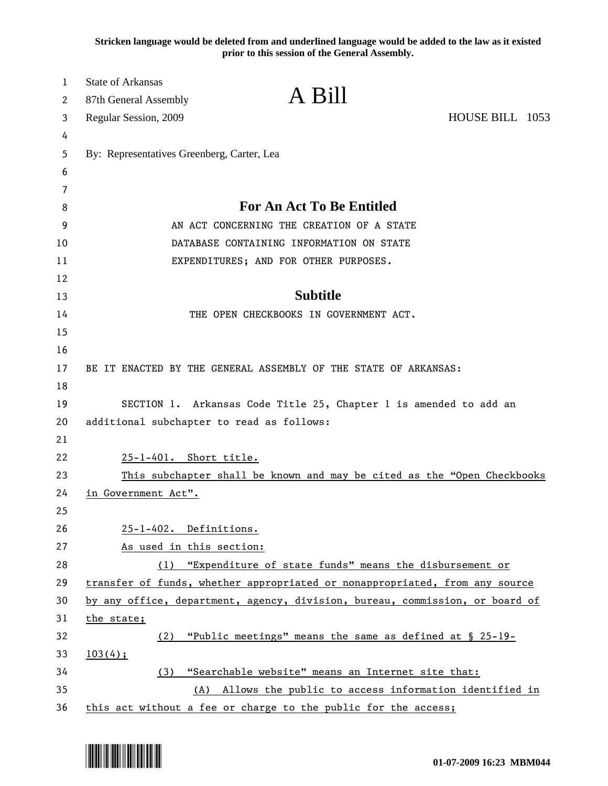**Stricken language would be deleted from and underlined language would be added to the law as it existed prior to this session of the General Assembly.**

| 1<br>2 | <b>State of Arkansas</b><br>A Bill<br>87th General Assembly                  |                 |
|--------|------------------------------------------------------------------------------|-----------------|
| 3      | Regular Session, 2009                                                        | HOUSE BILL 1053 |
| 4      |                                                                              |                 |
| 5      | By: Representatives Greenberg, Carter, Lea                                   |                 |
| 6      |                                                                              |                 |
| 7      |                                                                              |                 |
| 8      | <b>For An Act To Be Entitled</b>                                             |                 |
| 9      | AN ACT CONCERNING THE CREATION OF A STATE                                    |                 |
| 10     | DATABASE CONTAINING INFORMATION ON STATE                                     |                 |
| 11     | EXPENDITURES; AND FOR OTHER PURPOSES.                                        |                 |
| 12     |                                                                              |                 |
| 13     | <b>Subtitle</b>                                                              |                 |
| 14     | THE OPEN CHECKBOOKS IN GOVERNMENT ACT.                                       |                 |
| 15     |                                                                              |                 |
| 16     |                                                                              |                 |
| 17     | BE IT ENACTED BY THE GENERAL ASSEMBLY OF THE STATE OF ARKANSAS:              |                 |
| 18     |                                                                              |                 |
| 19     | SECTION 1. Arkansas Code Title 25, Chapter 1 is amended to add an            |                 |
| 20     | additional subchapter to read as follows:                                    |                 |
| 21     |                                                                              |                 |
| 22     | 25-1-401. Short title.                                                       |                 |
| 23     | This subchapter shall be known and may be cited as the "Open Checkbooks      |                 |
| 24     | in Government Act".                                                          |                 |
| 25     |                                                                              |                 |
| 26     | 25-1-402. Definitions.                                                       |                 |
| 27     | As used in this section:                                                     |                 |
| 28     | (1) "Expenditure of state funds" means the disbursement or                   |                 |
| 29     | transfer of funds, whether appropriated or nonappropriated, from any source  |                 |
| 30     | by any office, department, agency, division, bureau, commission, or board of |                 |
| 31     | the state;                                                                   |                 |
| 32     | (2) "Public meetings" means the same as defined at § 25-19-                  |                 |
| 33     | $103(4)$ ;                                                                   |                 |
| 34     | (3) "Searchable website" means an Internet site that:                        |                 |
| 35     | Allows the public to access information identified in<br>(A)                 |                 |
| 36     | this act without a fee or charge to the public for the access;               |                 |

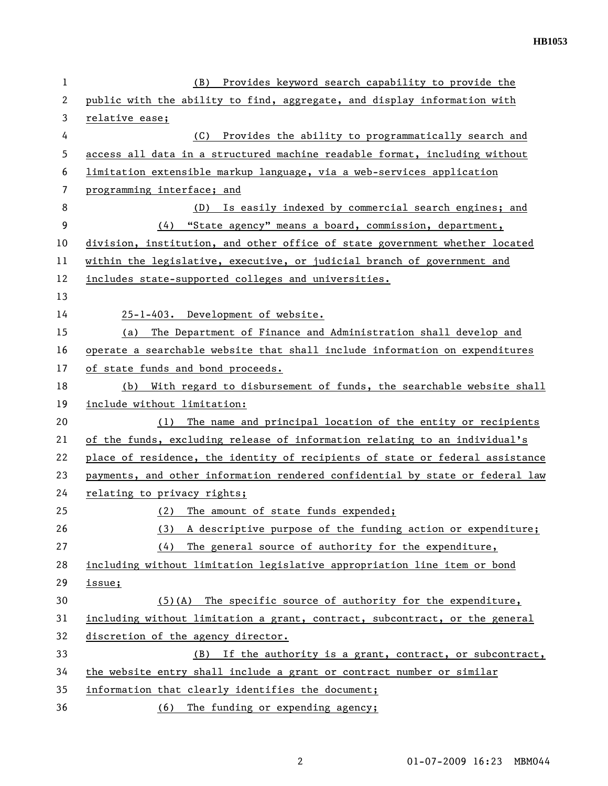| 1  | Provides keyword search capability to provide the<br>(B)                      |  |
|----|-------------------------------------------------------------------------------|--|
| 2  | public with the ability to find, aggregate, and display information with      |  |
| 3  | relative ease;                                                                |  |
| 4  | (C) Provides the ability to programmatically search and                       |  |
| 5  | access all data in a structured machine readable format, including without    |  |
| 6  | limitation extensible markup language, via a web-services application         |  |
| 7  | programming interface; and                                                    |  |
| 8  | Is easily indexed by commercial search engines; and<br>(D)                    |  |
| 9  | (4) "State agency" means a board, commission, department,                     |  |
| 10 | division, institution, and other office of state government whether located   |  |
| 11 | within the legislative, executive, or judicial branch of government and       |  |
| 12 | includes state-supported colleges and universities.                           |  |
| 13 |                                                                               |  |
| 14 | 25-1-403. Development of website.                                             |  |
| 15 | The Department of Finance and Administration shall develop and<br>(a)         |  |
| 16 | operate a searchable website that shall include information on expenditures   |  |
| 17 | of state funds and bond proceeds.                                             |  |
| 18 | (b) With regard to disbursement of funds, the searchable website shall        |  |
| 19 | include without limitation:                                                   |  |
| 20 | The name and principal location of the entity or recipients<br>(1)            |  |
| 21 | of the funds, excluding release of information relating to an individual's    |  |
| 22 | place of residence, the identity of recipients of state or federal assistance |  |
| 23 | payments, and other information rendered confidential by state or federal law |  |
| 24 | relating to privacy rights;                                                   |  |
| 25 | (2) The amount of state funds expended;                                       |  |
| 26 | A descriptive purpose of the funding action or expenditure;<br>(3)            |  |
| 27 | The general source of authority for the expenditure,<br>(4)                   |  |
| 28 | including without limitation legislative appropriation line item or bond      |  |
| 29 | issue;                                                                        |  |
| 30 | $(5)(A)$ The specific source of authority for the expenditure,                |  |
| 31 | including without limitation a grant, contract, subcontract, or the general   |  |
| 32 | discretion of the agency director.                                            |  |
| 33 | If the authority is a grant, contract, or subcontract,<br>(B)                 |  |
| 34 | the website entry shall include a grant or contract number or similar         |  |
| 35 | information that clearly identifies the document;                             |  |
| 36 | (6)<br>The funding or expending agency;                                       |  |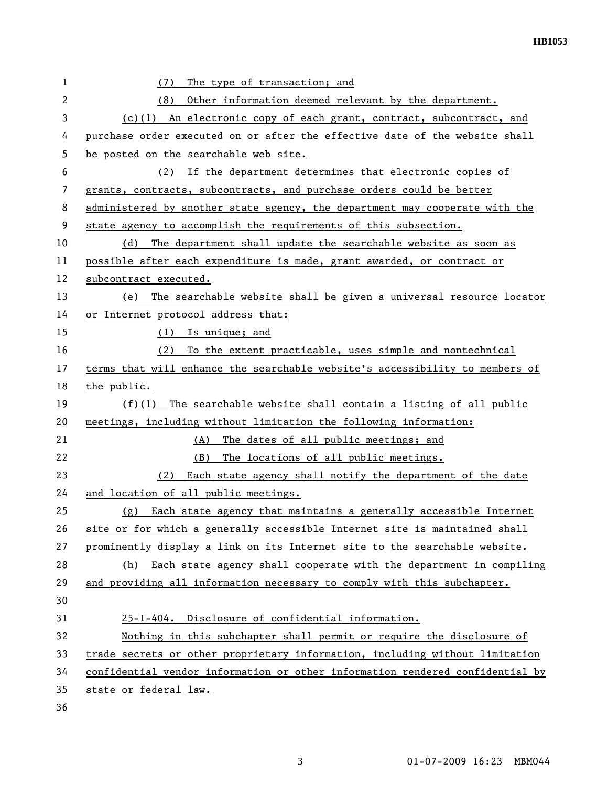| 1              | The type of transaction; and<br>(7)                                           |
|----------------|-------------------------------------------------------------------------------|
| $\overline{2}$ | Other information deemed relevant by the department.<br>(8)                   |
| 3              | $(c)(1)$ An electronic copy of each grant, contract, subcontract, and         |
| 4              | purchase order executed on or after the effective date of the website shall   |
| 5              | be posted on the searchable web site.                                         |
| 6              | (2) If the department determines that electronic copies of                    |
| 7              | grants, contracts, subcontracts, and purchase orders could be better          |
| 8              | administered by another state agency, the department may cooperate with the   |
| 9              | state agency to accomplish the requirements of this subsection.               |
| 10             | The department shall update the searchable website as soon as<br>(d)          |
| 11             | possible after each expenditure is made, grant awarded, or contract or        |
| 12             | subcontract executed.                                                         |
| 13             | The searchable website shall be given a universal resource locator<br>(e)     |
| 14             | or Internet protocol address that:                                            |
| 15             | $(1)$ Is unique; and                                                          |
| 16             | To the extent practicable, uses simple and nontechnical<br>(2)                |
| 17             | terms that will enhance the searchable website's accessibility to members of  |
| 18             | the public.                                                                   |
| 19             | The searchable website shall contain a listing of all public<br>(f)(1)        |
| 20             | meetings, including without limitation the following information:             |
| 21             | The dates of all public meetings; and<br>(A)                                  |
| 22             | The locations of all public meetings.<br>(B)                                  |
| 23             | Each state agency shall notify the department of the date<br>(2)              |
| 24             | and location of all public meetings.                                          |
| 25             | Each state agency that maintains a generally accessible Internet<br>(g)       |
| 26             | site or for which a generally accessible Internet site is maintained shall    |
| 27             | prominently display a link on its Internet site to the searchable website.    |
| 28             | Each state agency shall cooperate with the department in compiling<br>(h)     |
| 29             | and providing all information necessary to comply with this subchapter.       |
| 30             |                                                                               |
| 31             | 25-1-404. Disclosure of confidential information.                             |
| 32             | Nothing in this subchapter shall permit or require the disclosure of          |
| 33             | trade secrets or other proprietary information, including without limitation  |
| 34             | confidential vendor information or other information rendered confidential by |
| 35             | state or federal law.                                                         |
| 36             |                                                                               |